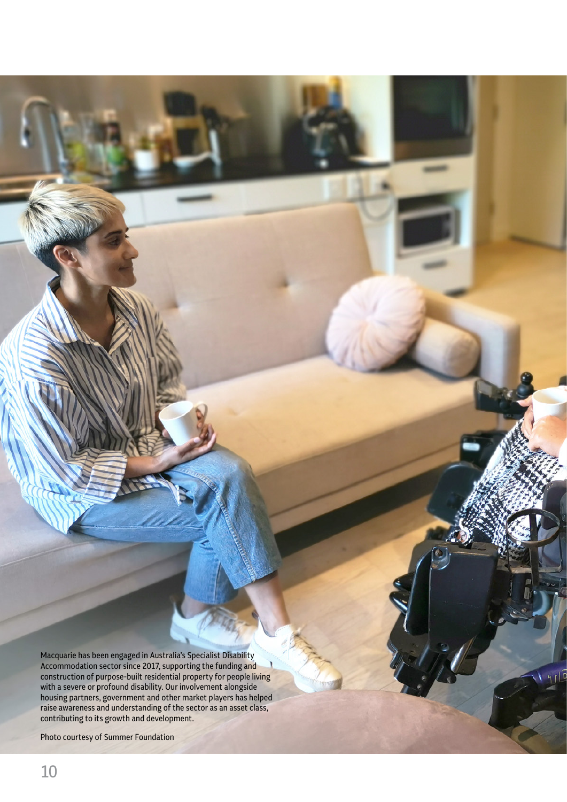Macquarie has been engaged in Australia's Specialist Disability Accommodation sector since 2017, supporting the funding and construction of purpose-built residential property for people living with a severe or profound disability. Our involvement alongside housing partners, government and other market players has helped raise awareness and understanding of the sector as an asset class, contributing to its growth and development.

Empowering people to innovate and invest for a better future

Photo courtesy of Summer Foundation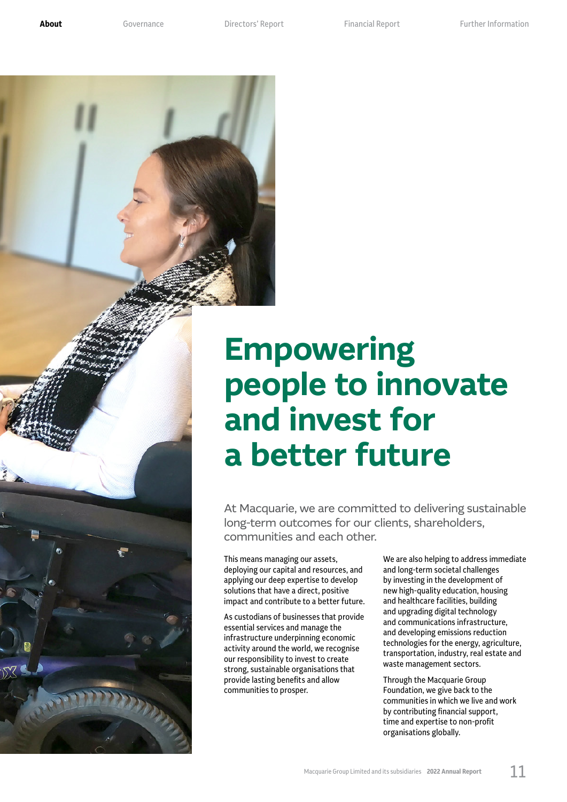**[About](#page--1-2)** [Governance](#page--1-1) **[Directors' Report](#page--1-0)** Financial Report Further Information



# **Empowering people to innovate and invest for a better future**

At Macquarie, we are committed to delivering sustainable long-term outcomes for our clients, shareholders, communities and each other.

This means managing our assets, deploying our capital and resources, and applying our deep expertise to develop solutions that have a direct, positive impact and contribute to a better future.

As custodians of businesses that provide essential services and manage the infrastructure underpinning economic activity around the world, we recognise our responsibility to invest to create strong, sustainable organisations that provide lasting benefits and allow communities to prosper.

We are also helping to address immediate and long-term societal challenges by investing in the development of new high-quality education, housing and healthcare facilities, building and upgrading digital technology and communications infrastructure, and developing emissions reduction technologies for the energy, agriculture, transportation, industry, real estate and waste management sectors.

Through the Macquarie Group Foundation, we give back to the communities in which we live and work by contributing financial support, time and expertise to non-profit organisations globally.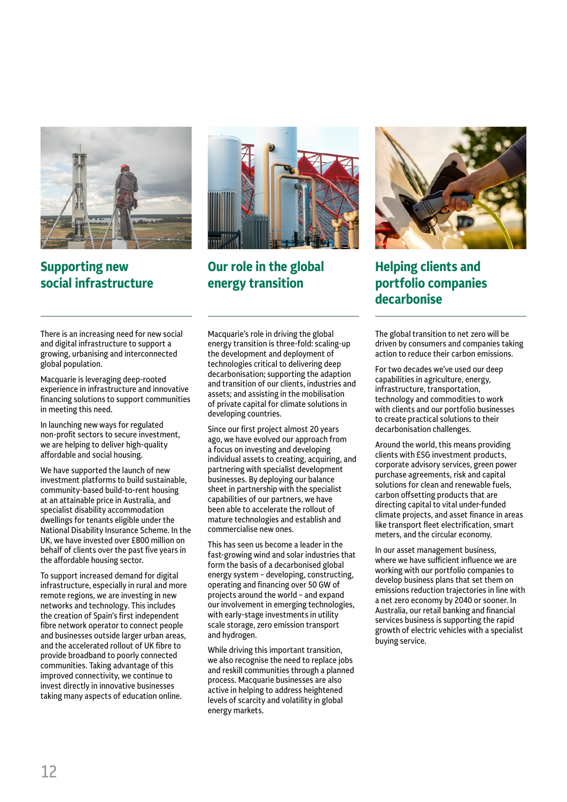

#### **Supporting new social infrastructure**

There is an increasing need for new social and digital infrastructure to support a growing, urbanising and interconnected global population.

Macquarie is leveraging deep-rooted experience in infrastructure and innovative financing solutions to support communities in meeting this need.

In launching new ways for regulated non-profit sectors to secure investment, we are helping to deliver high-quality affordable and social housing.

We have supported the launch of new investment platforms to build sustainable, community-based build-to-rent housing at an attainable price in Australia, and specialist disability accommodation dwellings for tenants eligible under the National Disability Insurance Scheme. In the UK, we have invested over £800 million on behalf of clients over the past five years in the affordable housing sector.

To support increased demand for digital infrastructure, especially in rural and more remote regions, we are investing in new networks and technology. This includes the creation of Spain's first independent fibre network operator to connect people and businesses outside larger urban areas, and the accelerated rollout of UK fibre to provide broadband to poorly connected communities. Taking advantage of this improved connectivity, we continue to invest directly in innovative businesses taking many aspects of education online.



**Our role in the global energy transition**

Macquarie's role in driving the global energy transition is three-fold: scaling-up the development and deployment of technologies critical to delivering deep decarbonisation; supporting the adaption and transition of our clients, industries and assets; and assisting in the mobilisation of private capital for climate solutions in developing countries.

Since our first project almost 20 years ago, we have evolved our approach from a focus on investing and developing individual assets to creating, acquiring, and partnering with specialist development businesses. By deploying our balance sheet in partnership with the specialist capabilities of our partners, we have been able to accelerate the rollout of mature technologies and establish and commercialise new ones.

This has seen us become a leader in the fast-growing wind and solar industries that form the basis of a decarbonised global energy system – developing, constructing, operating and financing over 50 GW of projects around the world – and expand our involvement in emerging technologies, with early-stage investments in utility scale storage, zero emission transport and hydrogen.

While driving this important transition, we also recognise the need to replace jobs and reskill communities through a planned process. Macquarie businesses are also active in helping to address heightened levels of scarcity and volatility in global energy markets.



### **Helping clients and portfolio companies decarbonise**

The global transition to net zero will be driven by consumers and companies taking action to reduce their carbon emissions.

For two decades we've used our deep capabilities in agriculture, energy, infrastructure, transportation, technology and commodities to work with clients and our portfolio businesses to create practical solutions to their decarbonisation challenges.

Around the world, this means providing clients with ESG investment products, corporate advisory services, green power purchase agreements, risk and capital solutions for clean and renewable fuels, carbon offsetting products that are directing capital to vital under-funded climate projects, and asset finance in areas like transport fleet electrification, smart meters, and the circular economy.

In our asset management business, where we have sufficient influence we are working with our portfolio companies to develop business plans that set them on emissions reduction trajectories in line with a net zero economy by 2040 or sooner. In Australia, our retail banking and financial services business is supporting the rapid growth of electric vehicles with a specialist buying service.